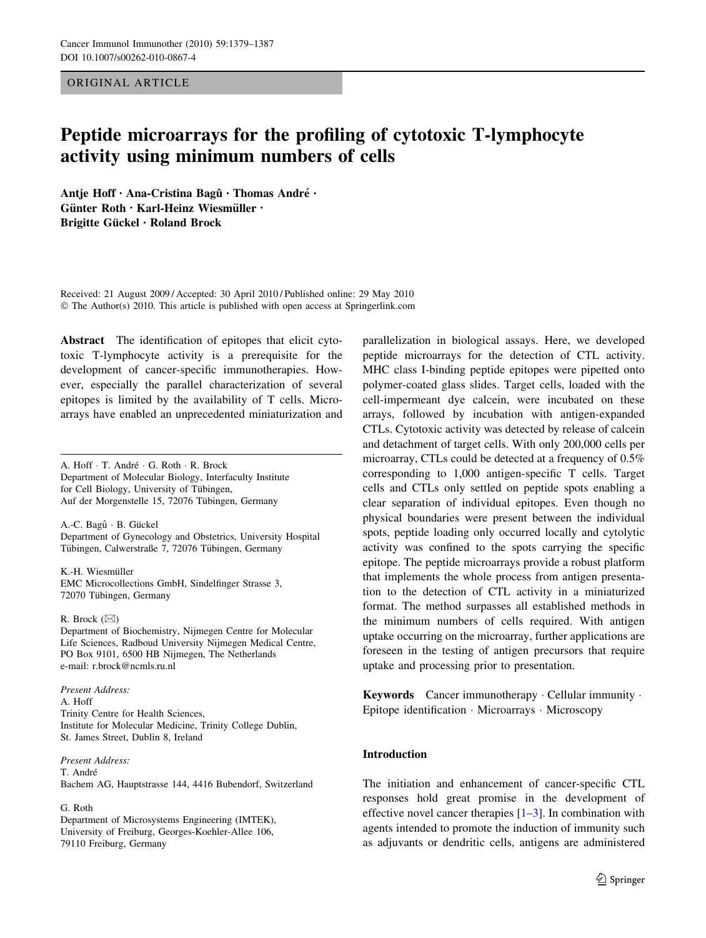## ORIGINAL ARTICLE

# Peptide microarrays for the profiling of cytotoxic T-lymphocyte activity using minimum numbers of cells

Antje Hoff · Ana-Cristina Bagû · Thomas André · Günter Roth · Karl-Heinz Wiesmüller · Brigitte Gückel · Roland Brock

Received: 21 August 2009 / Accepted: 30 April 2010 / Published online: 29 May 2010 © The Author(s) 2010. This article is published with open access at Springerlink.com

Abstract The identification of epitopes that elicit cytotoxic T-lymphocyte activity is a prerequisite for the development of cancer-specific immunotherapies. However, especially the parallel characterization of several epitopes is limited by the availability of T cells. Microarrays have enabled an unprecedented miniaturization and

A. Hoff · T. André · G. Roth · R. Brock Department of Molecular Biology, Interfaculty Institute for Cell Biology, University of Tübingen, Auf der Morgenstelle 15, 72076 Tübingen, Germany

A.-C. Bagû · B. Gückel Department of Gynecology and Obstetrics, University Hospital Tübingen, Calwerstraße 7, 72076 Tübingen, Germany

K.-H. Wiesmüller EMC Microcollections GmbH, Sindelfinger Strasse 3, 72070 Tübingen, Germany

#### R. Brock  $(\boxtimes)$

Department of Biochemistry, Nijmegen Centre for Molecular Life Sciences, Radboud University Nijmegen Medical Centre, PO Box 9101, 6500 HB Nijmegen, The Netherlands e-mail: r.brock@ncmls.ru.nl

Present Address: A. Hoff Trinity Centre for Health Sciences, Institute for Molecular Medicine, Trinity College Dublin, St. James Street, Dublin 8, Ireland

Present Address: T. André Bachem AG, Hauptstrasse 144, 4416 Bubendorf, Switzerland

#### G. Roth

Department of Microsystems Engineering (IMTEK), University of Freiburg, Georges-Koehler-Allee 106, 79110 Freiburg, Germany

parallelization in biological assays. Here, we developed peptide microarrays for the detection of CTL activity. MHC class I-binding peptide epitopes were pipetted onto polymer-coated glass slides. Target cells, loaded with the cell-impermeant dye calcein, were incubated on these arrays, followed by incubation with antigen-expanded CTLs. Cytotoxic activity was detected by release of calcein and detachment of target cells. With only 200,000 cells per microarray, CTLs could be detected at a frequency of 0.5% corresponding to 1,000 antigen-specific T cells. Target cells and CTLs only settled on peptide spots enabling a clear separation of individual epitopes. Even though no physical boundaries were present between the individual spots, peptide loading only occurred locally and cytolytic activity was confined to the spots carrying the specific epitope. The peptide microarrays provide a robust platform that implements the whole process from antigen presentation to the detection of CTL activity in a miniaturized format. The method surpasses all established methods in the minimum numbers of cells required. With antigen uptake occurring on the microarray, further applications are foreseen in the testing of antigen precursors that require uptake and processing prior to presentation.

Keywords Cancer immunotherapy · Cellular immunity · Epitope identification - Microarrays - Microscopy

## Introduction

The initiation and enhancement of cancer-specific CTL responses hold great promise in the development of effective novel cancer therapies  $[1-3]$ . In combination with agents intended to promote the induction of immunity such as adjuvants or dendritic cells, antigens are administered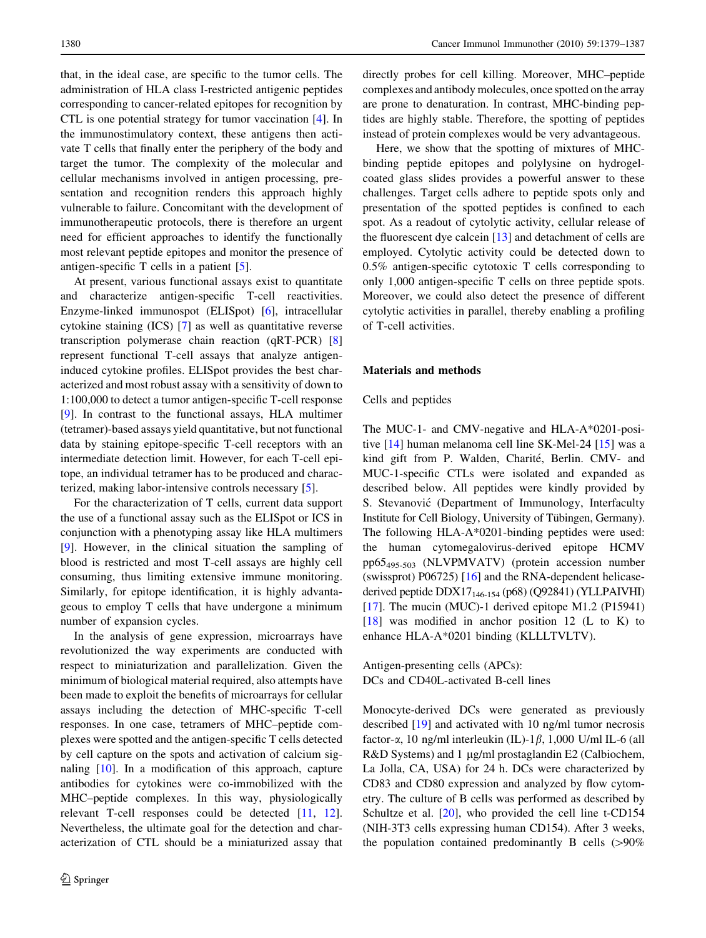that, in the ideal case, are specific to the tumor cells. The administration of HLA class I-restricted antigenic peptides corresponding to cancer-related epitopes for recognition by CTL is one potential strategy for tumor vaccination [[4](#page-7-0)]. In the immunostimulatory context, these antigens then activate T cells that finally enter the periphery of the body and target the tumor. The complexity of the molecular and cellular mechanisms involved in antigen processing, presentation and recognition renders this approach highly vulnerable to failure. Concomitant with the development of immunotherapeutic protocols, there is therefore an urgent need for efficient approaches to identify the functionally most relevant peptide epitopes and monitor the presence of antigen-specific T cells in a patient [[5\]](#page-7-0).

At present, various functional assays exist to quantitate and characterize antigen-specific T-cell reactivities. Enzyme-linked immunospot (ELISpot) [[6\]](#page-7-0), intracellular cytokine staining (ICS) [\[7](#page-7-0)] as well as quantitative reverse transcription polymerase chain reaction (qRT-PCR) [[8\]](#page-7-0) represent functional T-cell assays that analyze antigeninduced cytokine profiles. ELISpot provides the best characterized and most robust assay with a sensitivity of down to 1:100,000 to detect a tumor antigen-specific T-cell response [\[9](#page-8-0)]. In contrast to the functional assays, HLA multimer (tetramer)-based assays yield quantitative, but not functional data by staining epitope-specific T-cell receptors with an intermediate detection limit. However, for each T-cell epitope, an individual tetramer has to be produced and characterized, making labor-intensive controls necessary [[5\]](#page-7-0).

For the characterization of T cells, current data support the use of a functional assay such as the ELISpot or ICS in conjunction with a phenotyping assay like HLA multimers [\[9](#page-8-0)]. However, in the clinical situation the sampling of blood is restricted and most T-cell assays are highly cell consuming, thus limiting extensive immune monitoring. Similarly, for epitope identification, it is highly advantageous to employ T cells that have undergone a minimum number of expansion cycles.

In the analysis of gene expression, microarrays have revolutionized the way experiments are conducted with respect to miniaturization and parallelization. Given the minimum of biological material required, also attempts have been made to exploit the benefits of microarrays for cellular assays including the detection of MHC-specific T-cell responses. In one case, tetramers of MHC–peptide complexes were spotted and the antigen-specific T cells detected by cell capture on the spots and activation of calcium signaling [\[10](#page-8-0)]. In a modification of this approach, capture antibodies for cytokines were co-immobilized with the MHC–peptide complexes. In this way, physiologically relevant T-cell responses could be detected [\[11](#page-8-0), [12](#page-8-0)]. Nevertheless, the ultimate goal for the detection and characterization of CTL should be a miniaturized assay that directly probes for cell killing. Moreover, MHC–peptide complexes and antibody molecules, once spotted on the array are prone to denaturation. In contrast, MHC-binding peptides are highly stable. Therefore, the spotting of peptides instead of protein complexes would be very advantageous.

Here, we show that the spotting of mixtures of MHCbinding peptide epitopes and polylysine on hydrogelcoated glass slides provides a powerful answer to these challenges. Target cells adhere to peptide spots only and presentation of the spotted peptides is confined to each spot. As a readout of cytolytic activity, cellular release of the fluorescent dye calcein [[13\]](#page-8-0) and detachment of cells are employed. Cytolytic activity could be detected down to 0.5% antigen-specific cytotoxic T cells corresponding to only 1,000 antigen-specific T cells on three peptide spots. Moreover, we could also detect the presence of different cytolytic activities in parallel, thereby enabling a profiling of T-cell activities.

#### Materials and methods

## Cells and peptides

The MUC-1- and CMV-negative and HLA-A\*0201-positive [\[14](#page-8-0)] human melanoma cell line SK-Mel-24 [\[15](#page-8-0)] was a kind gift from P. Walden, Charité, Berlin. CMV- and MUC-1-specific CTLs were isolated and expanded as described below. All peptides were kindly provided by S. Stevanović (Department of Immunology, Interfaculty Institute for Cell Biology, University of Tübingen, Germany). The following HLA-A\*0201-binding peptides were used: the human cytomegalovirus-derived epitope HCMV pp65495-503 (NLVPMVATV) (protein accession number (swissprot) P06725) [[16\]](#page-8-0) and the RNA-dependent helicasederived peptide  $DDX17_{146-154}$  (p68) (Q92841) (YLLPAIVHI) [\[17](#page-8-0)]. The mucin (MUC)-1 derived epitope M1.2 (P15941) [\[18](#page-8-0)] was modified in anchor position 12 (L to K) to enhance HLA-A\*0201 binding (KLLLTVLTV).

Antigen-presenting cells (APCs): DCs and CD40L-activated B-cell lines

Monocyte-derived DCs were generated as previously described [[19\]](#page-8-0) and activated with 10 ng/ml tumor necrosis factor- $\alpha$ , 10 ng/ml interleukin (IL)-1 $\beta$ , 1,000 U/ml IL-6 (all R&D Systems) and 1 µg/ml prostaglandin E2 (Calbiochem, La Jolla, CA, USA) for 24 h. DCs were characterized by CD83 and CD80 expression and analyzed by flow cytometry. The culture of B cells was performed as described by Schultze et al. [[20\]](#page-8-0), who provided the cell line t-CD154 (NIH-3T3 cells expressing human CD154). After 3 weeks, the population contained predominantly B cells  $(>90\%$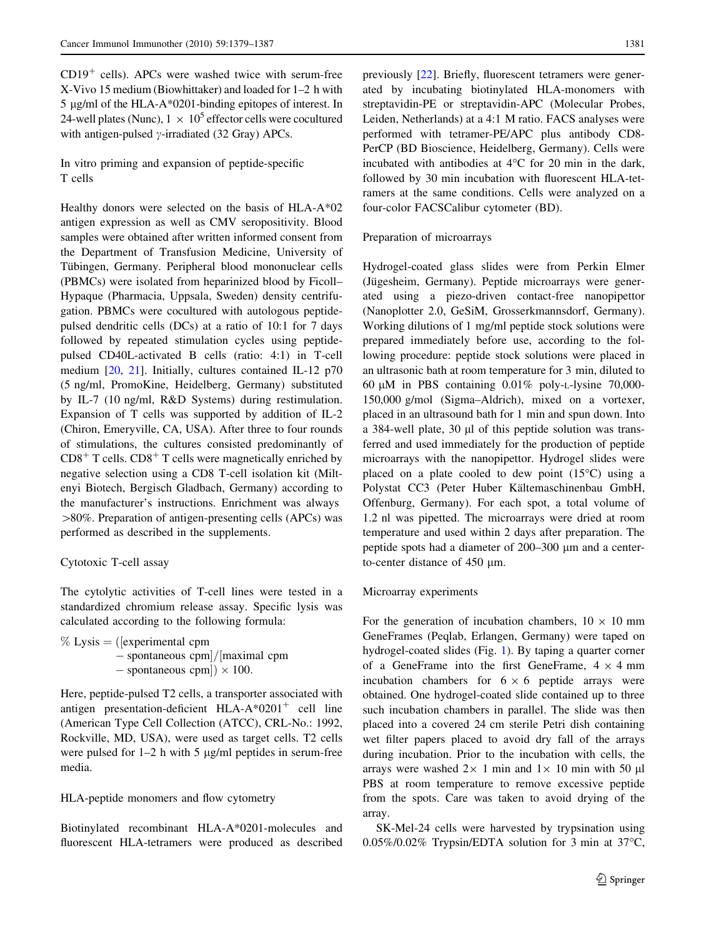$CD19<sup>+</sup>$  cells). APCs were washed twice with serum-free X-Vivo 15 medium (Biowhittaker) and loaded for 1–2 h with 5 µg/ml of the HLA-A\*0201-binding epitopes of interest. In 24-well plates (Nunc),  $1 \times 10^5$  effector cells were cocultured with antigen-pulsed  $\gamma$ -irradiated (32 Gray) APCs.

In vitro priming and expansion of peptide-specific T cells

Healthy donors were selected on the basis of HLA-A\*02 antigen expression as well as CMV seropositivity. Blood samples were obtained after written informed consent from the Department of Transfusion Medicine, University of Tübingen, Germany. Peripheral blood mononuclear cells (PBMCs) were isolated from heparinized blood by Ficoll– Hypaque (Pharmacia, Uppsala, Sweden) density centrifugation. PBMCs were cocultured with autologous peptidepulsed dendritic cells (DCs) at a ratio of 10:1 for 7 days followed by repeated stimulation cycles using peptidepulsed CD40L-activated B cells (ratio: 4:1) in T-cell medium [[20,](#page-8-0) [21](#page-8-0)]. Initially, cultures contained IL-12 p70 (5 ng/ml, PromoKine, Heidelberg, Germany) substituted by IL-7 (10 ng/ml, R&D Systems) during restimulation. Expansion of T cells was supported by addition of IL-2 (Chiron, Emeryville, CA, USA). After three to four rounds of stimulations, the cultures consisted predominantly of  $CD8<sup>+</sup>$  T cells.  $CD8<sup>+</sup>$  T cells were magnetically enriched by negative selection using a CD8 T-cell isolation kit (Miltenyi Biotech, Bergisch Gladbach, Germany) according to the manufacturer's instructions. Enrichment was always  $>80\%$ . Preparation of antigen-presenting cells (APCs) was performed as described in the supplements.

# Cytotoxic T-cell assay

The cytolytic activities of T-cell lines were tested in a standardized chromium release assay. Specific lysis was calculated according to the following formula:

 $\%$  Lysis  $=$  ([experimental cpm  $-$  spontaneous cpm $|/$ maximal cpm  $-$  spontaneous cpm $|\rangle \times 100$ .

Here, peptide-pulsed T2 cells, a transporter associated with antigen presentation-deficient  $HLA-A*0201^+$  cell line (American Type Cell Collection (ATCC), CRL-No.: 1992, Rockville, MD, USA), were used as target cells. T2 cells were pulsed for  $1-2$  h with 5  $\mu$ g/ml peptides in serum-free media.

## HLA-peptide monomers and flow cytometry

Biotinylated recombinant HLA-A\*0201-molecules and fluorescent HLA-tetramers were produced as described previously [\[22](#page-8-0)]. Briefly, fluorescent tetramers were generated by incubating biotinylated HLA-monomers with streptavidin-PE or streptavidin-APC (Molecular Probes, Leiden, Netherlands) at a 4:1 M ratio. FACS analyses were performed with tetramer-PE/APC plus antibody CD8- PerCP (BD Bioscience, Heidelberg, Germany). Cells were incubated with antibodies at  $4^{\circ}$ C for 20 min in the dark, followed by 30 min incubation with fluorescent HLA-tetramers at the same conditions. Cells were analyzed on a four-color FACSCalibur cytometer (BD).

## Preparation of microarrays

Hydrogel-coated glass slides were from Perkin Elmer (Jügesheim, Germany). Peptide microarrays were generated using a piezo-driven contact-free nanopipettor (Nanoplotter 2.0, GeSiM, Grosserkmannsdorf, Germany). Working dilutions of 1 mg/ml peptide stock solutions were prepared immediately before use, according to the following procedure: peptide stock solutions were placed in an ultrasonic bath at room temperature for 3 min, diluted to 60  $\mu$ M in PBS containing 0.01% poly-L-lysine 70,000-150,000 g/mol (Sigma–Aldrich), mixed on a vortexer, placed in an ultrasound bath for 1 min and spun down. Into a 384-well plate,  $30 \mu l$  of this peptide solution was transferred and used immediately for the production of peptide microarrays with the nanopipettor. Hydrogel slides were placed on a plate cooled to dew point  $(15^{\circ}C)$  using a Polystat CC3 (Peter Huber Kältemaschinenbau GmbH, Offenburg, Germany). For each spot, a total volume of 1.2 nl was pipetted. The microarrays were dried at room temperature and used within 2 days after preparation. The peptide spots had a diameter of  $200-300 \mu m$  and a centerto-center distance of  $450 \mu m$ .

#### Microarray experiments

For the generation of incubation chambers,  $10 \times 10$  mm GeneFrames (Peqlab, Erlangen, Germany) were taped on hydrogel-coated slides (Fig. [1\)](#page-3-0). By taping a quarter corner of a GeneFrame into the first GeneFrame,  $4 \times 4$  mm incubation chambers for  $6 \times 6$  peptide arrays were obtained. One hydrogel-coated slide contained up to three such incubation chambers in parallel. The slide was then placed into a covered 24 cm sterile Petri dish containing wet filter papers placed to avoid dry fall of the arrays during incubation. Prior to the incubation with cells, the arrays were washed  $2 \times 1$  min and  $1 \times 10$  min with 50 µl PBS at room temperature to remove excessive peptide from the spots. Care was taken to avoid drying of the array.

SK-Mel-24 cells were harvested by trypsination using  $0.05\%/0.02\%$  Trypsin/EDTA solution for 3 min at 37 $^{\circ}$ C,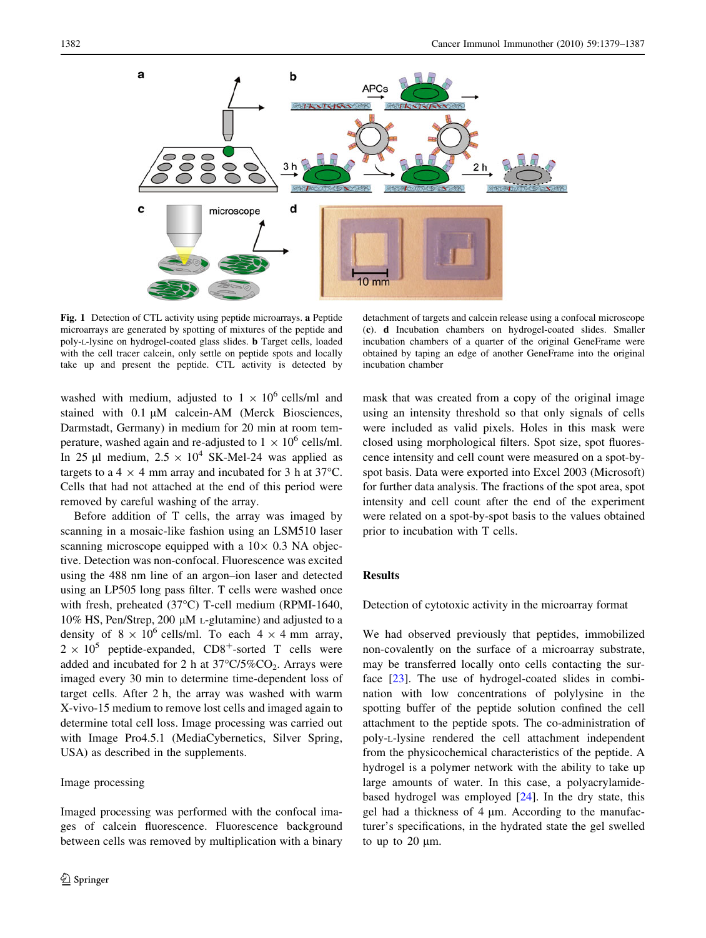<span id="page-3-0"></span>

Fig. 1 Detection of CTL activity using peptide microarrays. a Peptide microarrays are generated by spotting of mixtures of the peptide and poly-L-lysine on hydrogel-coated glass slides. b Target cells, loaded with the cell tracer calcein, only settle on peptide spots and locally take up and present the peptide. CTL activity is detected by

detachment of targets and calcein release using a confocal microscope (c). d Incubation chambers on hydrogel-coated slides. Smaller incubation chambers of a quarter of the original GeneFrame were obtained by taping an edge of another GeneFrame into the original incubation chamber

washed with medium, adjusted to  $1 \times 10^6$  cells/ml and stained with  $0.1 \mu M$  calcein-AM (Merck Biosciences, Darmstadt, Germany) in medium for 20 min at room temperature, washed again and re-adjusted to  $1 \times 10^6$  cells/ml. In 25 µl medium,  $2.5 \times 10^4$  SK-Mel-24 was applied as targets to a 4  $\times$  4 mm array and incubated for 3 h at 37°C. Cells that had not attached at the end of this period were removed by careful washing of the array.

Before addition of T cells, the array was imaged by scanning in a mosaic-like fashion using an LSM510 laser scanning microscope equipped with a  $10\times 0.3$  NA objective. Detection was non-confocal. Fluorescence was excited using the 488 nm line of an argon–ion laser and detected using an LP505 long pass filter. T cells were washed once with fresh, preheated  $(37^{\circ}C)$  T-cell medium (RPMI-1640, 10% HS, Pen/Strep, 200  $\mu$ M L-glutamine) and adjusted to a density of  $8 \times 10^6$  cells/ml. To each  $4 \times 4$  mm array,  $2 \times 10^5$  peptide-expanded, CD8<sup>+</sup>-sorted T cells were added and incubated for 2 h at  $37^{\circ}C/5\%CO_2$ . Arrays were imaged every 30 min to determine time-dependent loss of target cells. After 2 h, the array was washed with warm X-vivo-15 medium to remove lost cells and imaged again to determine total cell loss. Image processing was carried out with Image Pro4.5.1 (MediaCybernetics, Silver Spring, USA) as described in the supplements.

# Image processing

Imaged processing was performed with the confocal images of calcein fluorescence. Fluorescence background between cells was removed by multiplication with a binary mask that was created from a copy of the original image using an intensity threshold so that only signals of cells were included as valid pixels. Holes in this mask were closed using morphological filters. Spot size, spot fluorescence intensity and cell count were measured on a spot-byspot basis. Data were exported into Excel 2003 (Microsoft) for further data analysis. The fractions of the spot area, spot intensity and cell count after the end of the experiment were related on a spot-by-spot basis to the values obtained prior to incubation with T cells.

# Results

#### Detection of cytotoxic activity in the microarray format

We had observed previously that peptides, immobilized non-covalently on the surface of a microarray substrate, may be transferred locally onto cells contacting the surface [\[23](#page-8-0)]. The use of hydrogel-coated slides in combination with low concentrations of polylysine in the spotting buffer of the peptide solution confined the cell attachment to the peptide spots. The co-administration of poly-L-lysine rendered the cell attachment independent from the physicochemical characteristics of the peptide. A hydrogel is a polymer network with the ability to take up large amounts of water. In this case, a polyacrylamidebased hydrogel was employed [[24\]](#page-8-0). In the dry state, this gel had a thickness of  $4 \mu m$ . According to the manufacturer's specifications, in the hydrated state the gel swelled to up to  $20 \mu m$ .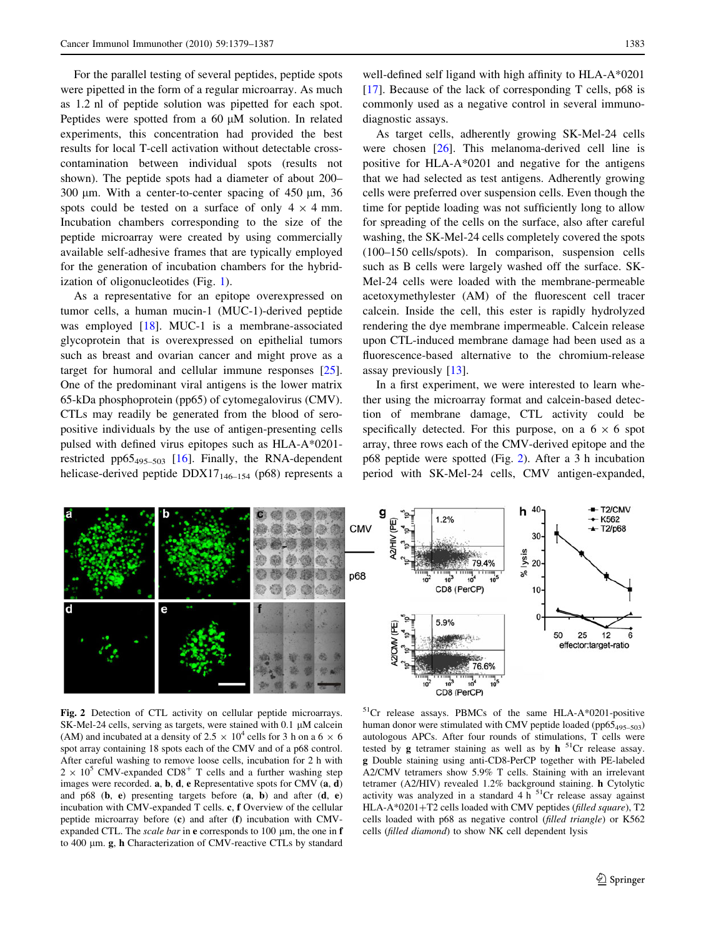For the parallel testing of several peptides, peptide spots were pipetted in the form of a regular microarray. As much as 1.2 nl of peptide solution was pipetted for each spot. Peptides were spotted from a 60  $\mu$ M solution. In related experiments, this concentration had provided the best results for local T-cell activation without detectable crosscontamination between individual spots (results not shown). The peptide spots had a diameter of about 200– 300  $\mu$ m. With a center-to-center spacing of 450  $\mu$ m, 36 spots could be tested on a surface of only  $4 \times 4$  mm. Incubation chambers corresponding to the size of the peptide microarray were created by using commercially available self-adhesive frames that are typically employed for the generation of incubation chambers for the hybridization of oligonucleotides (Fig. [1](#page-3-0)).

As a representative for an epitope overexpressed on tumor cells, a human mucin-1 (MUC-1)-derived peptide was employed [\[18](#page-8-0)]. MUC-1 is a membrane-associated glycoprotein that is overexpressed on epithelial tumors such as breast and ovarian cancer and might prove as a target for humoral and cellular immune responses [\[25](#page-8-0)]. One of the predominant viral antigens is the lower matrix 65-kDa phosphoprotein (pp65) of cytomegalovirus (CMV). CTLs may readily be generated from the blood of seropositive individuals by the use of antigen-presenting cells pulsed with defined virus epitopes such as HLA-A\*0201- restricted pp65<sub>495–503</sub> [[16\]](#page-8-0). Finally, the RNA-dependent helicase-derived peptide DDX17<sub>146-154</sub> (p68) represents a

well-defined self ligand with high affinity to HLA-A\*0201 [\[17](#page-8-0)]. Because of the lack of corresponding T cells, p68 is commonly used as a negative control in several immunodiagnostic assays.

As target cells, adherently growing SK-Mel-24 cells were chosen [[26\]](#page-8-0). This melanoma-derived cell line is positive for HLA-A\*0201 and negative for the antigens that we had selected as test antigens. Adherently growing cells were preferred over suspension cells. Even though the time for peptide loading was not sufficiently long to allow for spreading of the cells on the surface, also after careful washing, the SK-Mel-24 cells completely covered the spots (100–150 cells/spots). In comparison, suspension cells such as B cells were largely washed off the surface. SK-Mel-24 cells were loaded with the membrane-permeable acetoxymethylester (AM) of the fluorescent cell tracer calcein. Inside the cell, this ester is rapidly hydrolyzed rendering the dye membrane impermeable. Calcein release upon CTL-induced membrane damage had been used as a fluorescence-based alternative to the chromium-release assay previously [[13\]](#page-8-0).

In a first experiment, we were interested to learn whether using the microarray format and calcein-based detection of membrane damage, CTL activity could be specifically detected. For this purpose, on a  $6 \times 6$  spot array, three rows each of the CMV-derived epitope and the p68 peptide were spotted (Fig. 2). After a 3 h incubation period with SK-Mel-24 cells, CMV antigen-expanded,



Fig. 2 Detection of CTL activity on cellular peptide microarrays. SK-Mel-24 cells, serving as targets, were stained with  $0.1 \mu$ M calcein (AM) and incubated at a density of 2.5  $\times$  10<sup>4</sup> cells for 3 h on a 6  $\times$  6 spot array containing 18 spots each of the CMV and of a p68 control. After careful washing to remove loose cells, incubation for 2 h with  $2 \times 10^5$  CMV-expanded CD8<sup>+</sup> T cells and a further washing step images were recorded. a, b, d, e Representative spots for CMV (a, d) and  $p68$  (b, e) presenting targets before  $(a, b)$  and after  $(d, e)$ incubation with CMV-expanded T cells. c, f Overview of the cellular peptide microarray before (c) and after (f) incubation with CMVexpanded CTL. The scale bar in  $e$  corresponds to 100  $\mu$ m, the one in  $f$ to 400 lm. g, h Characterization of CMV-reactive CTLs by standard

<sup>51</sup>Cr release assays. PBMCs of the same HLA-A\*0201-positive human donor were stimulated with CMV peptide loaded (pp65 $_{495-503}$ ) autologous APCs. After four rounds of stimulations, T cells were tested by  $g$  tetramer staining as well as by  $h^{51}Cr$  release assay. g Double staining using anti-CD8-PerCP together with PE-labeled A2/CMV tetramers show 5.9% T cells. Staining with an irrelevant tetramer (A2/HIV) revealed 1.2% background staining. h Cytolytic activity was analyzed in a standard  $4 h<sup>51</sup>Cr$  release assay against HLA-A\*0201+T2 cells loaded with CMV peptides (filled square), T2 cells loaded with p68 as negative control (filled triangle) or K562 cells (filled diamond) to show NK cell dependent lysis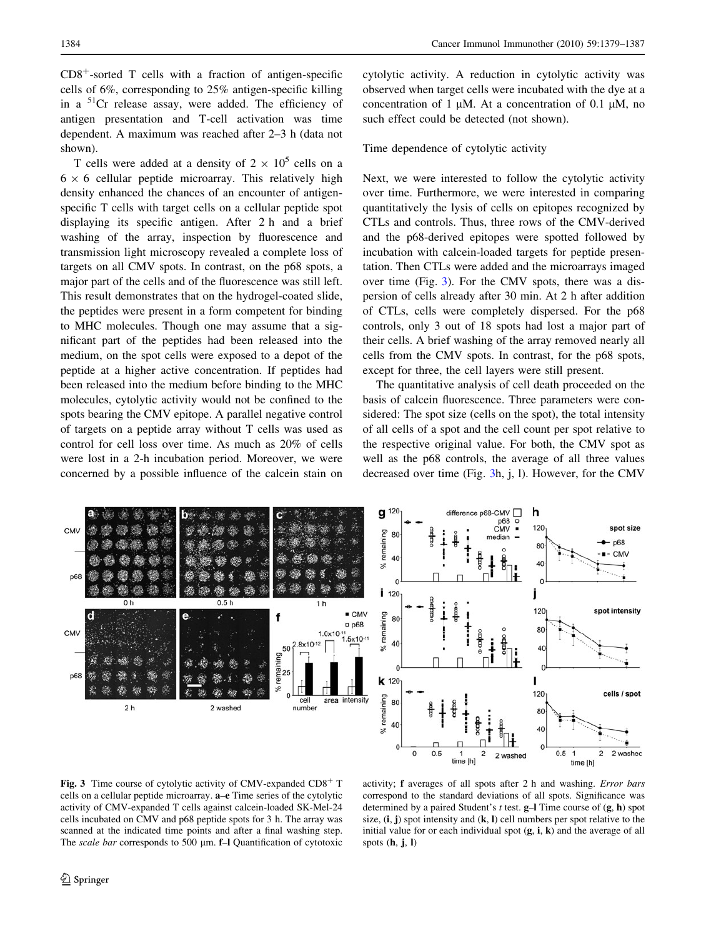<span id="page-5-0"></span> $CD8<sup>+</sup>$ -sorted T cells with a fraction of antigen-specific cells of 6%, corresponding to 25% antigen-specific killing in a  ${}^{51}$ Cr release assay, were added. The efficiency of antigen presentation and T-cell activation was time dependent. A maximum was reached after 2–3 h (data not shown).

T cells were added at a density of  $2 \times 10^5$  cells on a  $6 \times 6$  cellular peptide microarray. This relatively high density enhanced the chances of an encounter of antigenspecific T cells with target cells on a cellular peptide spot displaying its specific antigen. After 2 h and a brief washing of the array, inspection by fluorescence and transmission light microscopy revealed a complete loss of targets on all CMV spots. In contrast, on the p68 spots, a major part of the cells and of the fluorescence was still left. This result demonstrates that on the hydrogel-coated slide, the peptides were present in a form competent for binding to MHC molecules. Though one may assume that a significant part of the peptides had been released into the medium, on the spot cells were exposed to a depot of the peptide at a higher active concentration. If peptides had been released into the medium before binding to the MHC molecules, cytolytic activity would not be confined to the spots bearing the CMV epitope. A parallel negative control of targets on a peptide array without T cells was used as control for cell loss over time. As much as 20% of cells were lost in a 2-h incubation period. Moreover, we were concerned by a possible influence of the calcein stain on cytolytic activity. A reduction in cytolytic activity was observed when target cells were incubated with the dye at a concentration of 1  $\mu$ M. At a concentration of 0.1  $\mu$ M, no such effect could be detected (not shown).

## Time dependence of cytolytic activity

Next, we were interested to follow the cytolytic activity over time. Furthermore, we were interested in comparing quantitatively the lysis of cells on epitopes recognized by CTLs and controls. Thus, three rows of the CMV-derived and the p68-derived epitopes were spotted followed by incubation with calcein-loaded targets for peptide presentation. Then CTLs were added and the microarrays imaged over time (Fig. 3). For the CMV spots, there was a dispersion of cells already after 30 min. At 2 h after addition of CTLs, cells were completely dispersed. For the p68 controls, only 3 out of 18 spots had lost a major part of their cells. A brief washing of the array removed nearly all cells from the CMV spots. In contrast, for the p68 spots, except for three, the cell layers were still present.

The quantitative analysis of cell death proceeded on the basis of calcein fluorescence. Three parameters were considered: The spot size (cells on the spot), the total intensity of all cells of a spot and the cell count per spot relative to the respective original value. For both, the CMV spot as well as the p68 controls, the average of all three values decreased over time (Fig. 3h, j, l). However, for the CMV



Fig. 3 Time course of cytolytic activity of CMV-expanded  $CD8<sup>+</sup>$  T cells on a cellular peptide microarray. a–e Time series of the cytolytic activity of CMV-expanded T cells against calcein-loaded SK-Mel-24 cells incubated on CMV and p68 peptide spots for 3 h. The array was scanned at the indicated time points and after a final washing step. The *scale bar* corresponds to 500 µm. **f**-I Quantification of cytotoxic

activity; f averages of all spots after 2 h and washing. Error bars correspond to the standard deviations of all spots. Significance was determined by a paired Student's t test. g–l Time course of (g, h) spot size,  $(i, j)$  spot intensity and  $(k, l)$  cell numbers per spot relative to the initial value for or each individual spot  $(g, i, k)$  and the average of all spots  $(h, j, l)$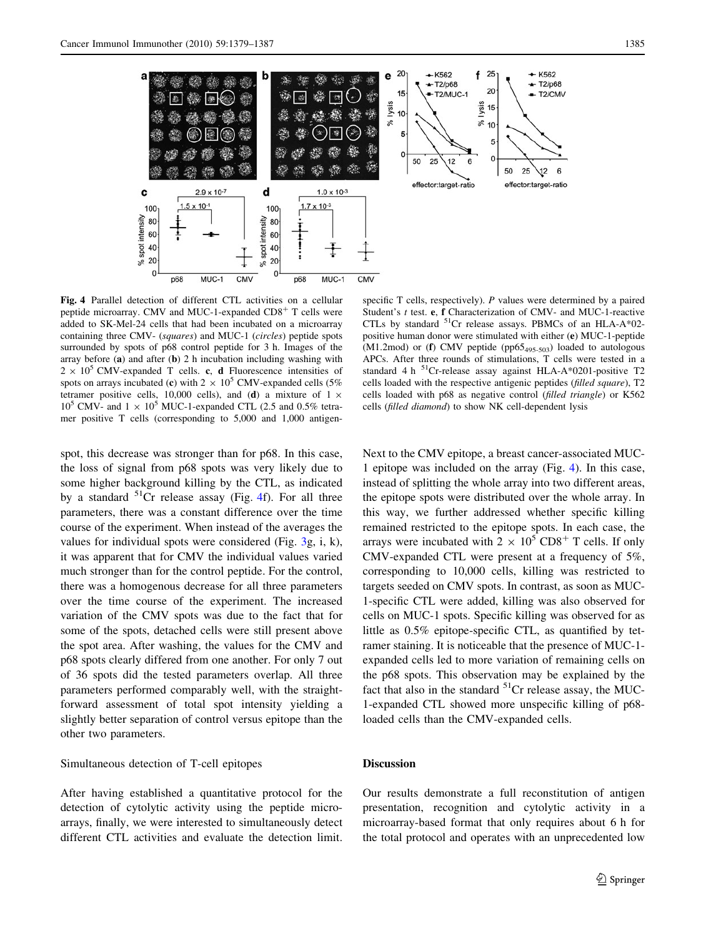

Fig. 4 Parallel detection of different CTL activities on a cellular peptide microarray. CMV and MUC-1-expanded  $CD8<sup>+</sup>$  T cells were added to SK-Mel-24 cells that had been incubated on a microarray containing three CMV- (squares) and MUC-1 (circles) peptide spots surrounded by spots of p68 control peptide for 3 h. Images of the array before (a) and after (b) 2 h incubation including washing with  $2 \times 10^5$  CMV-expanded T cells. c, d Fluorescence intensities of spots on arrays incubated (c) with  $2 \times 10^5$  CMV-expanded cells (5%) tetramer positive cells, 10,000 cells), and (d) a mixture of  $1 \times$  $10^5$  CMV- and  $1 \times 10^5$  MUC-1-expanded CTL (2.5 and 0.5% tetramer positive T cells (corresponding to 5,000 and 1,000 antigen-

spot, this decrease was stronger than for p68. In this case, the loss of signal from p68 spots was very likely due to some higher background killing by the CTL, as indicated by a standard  ${}^{51}Cr$  release assay (Fig. 4f). For all three parameters, there was a constant difference over the time course of the experiment. When instead of the averages the values for individual spots were considered (Fig. [3](#page-5-0)g, i, k), it was apparent that for CMV the individual values varied much stronger than for the control peptide. For the control, there was a homogenous decrease for all three parameters over the time course of the experiment. The increased variation of the CMV spots was due to the fact that for some of the spots, detached cells were still present above the spot area. After washing, the values for the CMV and p68 spots clearly differed from one another. For only 7 out of 36 spots did the tested parameters overlap. All three parameters performed comparably well, with the straightforward assessment of total spot intensity yielding a slightly better separation of control versus epitope than the other two parameters.

# Simultaneous detection of T-cell epitopes

After having established a quantitative protocol for the detection of cytolytic activity using the peptide microarrays, finally, we were interested to simultaneously detect different CTL activities and evaluate the detection limit.

specific  $T$  cells, respectively).  $P$  values were determined by a paired Student's t test. e, f Characterization of CMV- and MUC-1-reactive CTLs by standard 51Cr release assays. PBMCs of an HLA-A\*02 positive human donor were stimulated with either (e) MUC-1-peptide (M1.2mod) or (f) CMV peptide (pp65<sub>495-503</sub>) loaded to autologous APCs. After three rounds of stimulations, T cells were tested in a standard 4 h <sup>51</sup>Cr-release assay against HLA-A\*0201-positive T2 cells loaded with the respective antigenic peptides (filled square), T2 cells loaded with p68 as negative control (filled triangle) or K562 cells (filled diamond) to show NK cell-dependent lysis

Next to the CMV epitope, a breast cancer-associated MUC-1 epitope was included on the array (Fig. 4). In this case, instead of splitting the whole array into two different areas, the epitope spots were distributed over the whole array. In this way, we further addressed whether specific killing remained restricted to the epitope spots. In each case, the arrays were incubated with  $2 \times 10^5 \text{ CD8}^+ \text{ T}$  cells. If only CMV-expanded CTL were present at a frequency of 5%, corresponding to 10,000 cells, killing was restricted to targets seeded on CMV spots. In contrast, as soon as MUC-1-specific CTL were added, killing was also observed for cells on MUC-1 spots. Specific killing was observed for as little as 0.5% epitope-specific CTL, as quantified by tetramer staining. It is noticeable that the presence of MUC-1 expanded cells led to more variation of remaining cells on the p68 spots. This observation may be explained by the fact that also in the standard  ${}^{51}Cr$  release assay, the MUC-1-expanded CTL showed more unspecific killing of p68 loaded cells than the CMV-expanded cells.

# Discussion

Our results demonstrate a full reconstitution of antigen presentation, recognition and cytolytic activity in a microarray-based format that only requires about 6 h for the total protocol and operates with an unprecedented low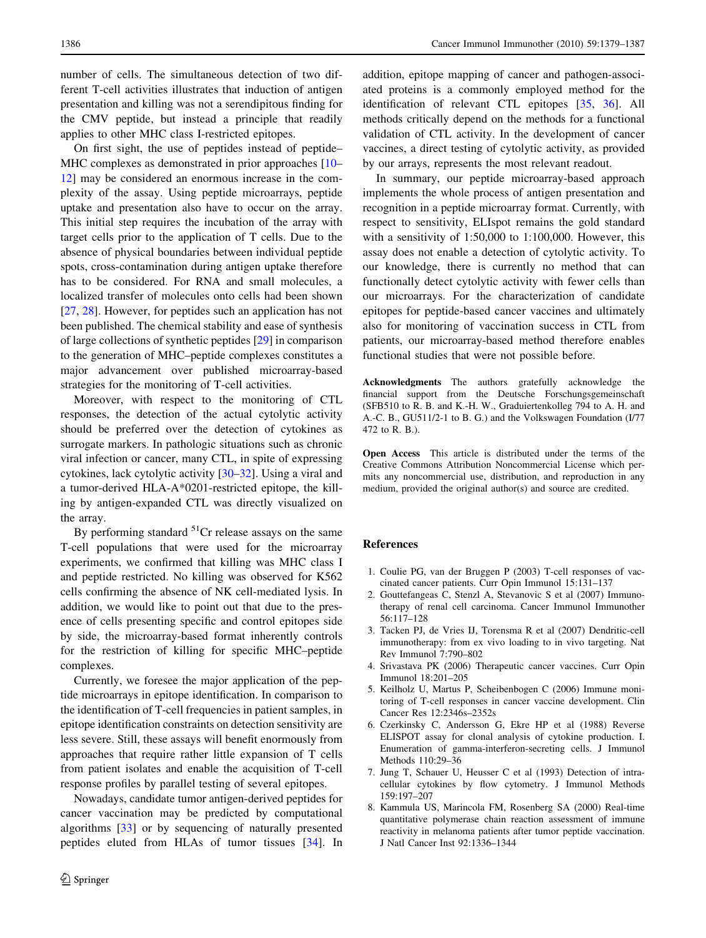<span id="page-7-0"></span>number of cells. The simultaneous detection of two different T-cell activities illustrates that induction of antigen presentation and killing was not a serendipitous finding for the CMV peptide, but instead a principle that readily applies to other MHC class I-restricted epitopes.

On first sight, the use of peptides instead of peptide– MHC complexes as demonstrated in prior approaches [\[10](#page-8-0)– [12](#page-8-0)] may be considered an enormous increase in the complexity of the assay. Using peptide microarrays, peptide uptake and presentation also have to occur on the array. This initial step requires the incubation of the array with target cells prior to the application of T cells. Due to the absence of physical boundaries between individual peptide spots, cross-contamination during antigen uptake therefore has to be considered. For RNA and small molecules, a localized transfer of molecules onto cells had been shown [\[27](#page-8-0), [28](#page-8-0)]. However, for peptides such an application has not been published. The chemical stability and ease of synthesis of large collections of synthetic peptides [[29\]](#page-8-0) in comparison to the generation of MHC–peptide complexes constitutes a major advancement over published microarray-based strategies for the monitoring of T-cell activities.

Moreover, with respect to the monitoring of CTL responses, the detection of the actual cytolytic activity should be preferred over the detection of cytokines as surrogate markers. In pathologic situations such as chronic viral infection or cancer, many CTL, in spite of expressing cytokines, lack cytolytic activity [\[30–32](#page-8-0)]. Using a viral and a tumor-derived HLA-A\*0201-restricted epitope, the killing by antigen-expanded CTL was directly visualized on the array.

By performing standard  $5^{1}$ Cr release assays on the same T-cell populations that were used for the microarray experiments, we confirmed that killing was MHC class I and peptide restricted. No killing was observed for K562 cells confirming the absence of NK cell-mediated lysis. In addition, we would like to point out that due to the presence of cells presenting specific and control epitopes side by side, the microarray-based format inherently controls for the restriction of killing for specific MHC–peptide complexes.

Currently, we foresee the major application of the peptide microarrays in epitope identification. In comparison to the identification of T-cell frequencies in patient samples, in epitope identification constraints on detection sensitivity are less severe. Still, these assays will benefit enormously from approaches that require rather little expansion of T cells from patient isolates and enable the acquisition of T-cell response profiles by parallel testing of several epitopes.

Nowadays, candidate tumor antigen-derived peptides for cancer vaccination may be predicted by computational algorithms [[33\]](#page-8-0) or by sequencing of naturally presented peptides eluted from HLAs of tumor tissues [[34\]](#page-8-0). In addition, epitope mapping of cancer and pathogen-associated proteins is a commonly employed method for the identification of relevant CTL epitopes [\[35,](#page-8-0) [36\]](#page-8-0). All methods critically depend on the methods for a functional validation of CTL activity. In the development of cancer vaccines, a direct testing of cytolytic activity, as provided by our arrays, represents the most relevant readout.

In summary, our peptide microarray-based approach implements the whole process of antigen presentation and recognition in a peptide microarray format. Currently, with respect to sensitivity, ELIspot remains the gold standard with a sensitivity of 1:50,000 to 1:100,000. However, this assay does not enable a detection of cytolytic activity. To our knowledge, there is currently no method that can functionally detect cytolytic activity with fewer cells than our microarrays. For the characterization of candidate epitopes for peptide-based cancer vaccines and ultimately also for monitoring of vaccination success in CTL from patients, our microarray-based method therefore enables functional studies that were not possible before.

Acknowledgments The authors gratefully acknowledge the financial support from the Deutsche Forschungsgemeinschaft (SFB510 to R. B. and K.-H. W., Graduiertenkolleg 794 to A. H. and A.-C. B., GU511/2-1 to B. G.) and the Volkswagen Foundation (I/77 472 to R. B.).

Open Access This article is distributed under the terms of the Creative Commons Attribution Noncommercial License which permits any noncommercial use, distribution, and reproduction in any medium, provided the original author(s) and source are credited.

#### References

- 1. Coulie PG, van der Bruggen P (2003) T-cell responses of vaccinated cancer patients. Curr Opin Immunol 15:131–137
- 2. Gouttefangeas C, Stenzl A, Stevanovic S et al (2007) Immunotherapy of renal cell carcinoma. Cancer Immunol Immunother 56:117–128
- 3. Tacken PJ, de Vries IJ, Torensma R et al (2007) Dendritic-cell immunotherapy: from ex vivo loading to in vivo targeting. Nat Rev Immunol 7:790–802
- 4. Srivastava PK (2006) Therapeutic cancer vaccines. Curr Opin Immunol 18:201–205
- 5. Keilholz U, Martus P, Scheibenbogen C (2006) Immune monitoring of T-cell responses in cancer vaccine development. Clin Cancer Res 12:2346s–2352s
- 6. Czerkinsky C, Andersson G, Ekre HP et al (1988) Reverse ELISPOT assay for clonal analysis of cytokine production. I. Enumeration of gamma-interferon-secreting cells. J Immunol Methods 110:29–36
- 7. Jung T, Schauer U, Heusser C et al (1993) Detection of intracellular cytokines by flow cytometry. J Immunol Methods 159:197–207
- 8. Kammula US, Marincola FM, Rosenberg SA (2000) Real-time quantitative polymerase chain reaction assessment of immune reactivity in melanoma patients after tumor peptide vaccination. J Natl Cancer Inst 92:1336–1344